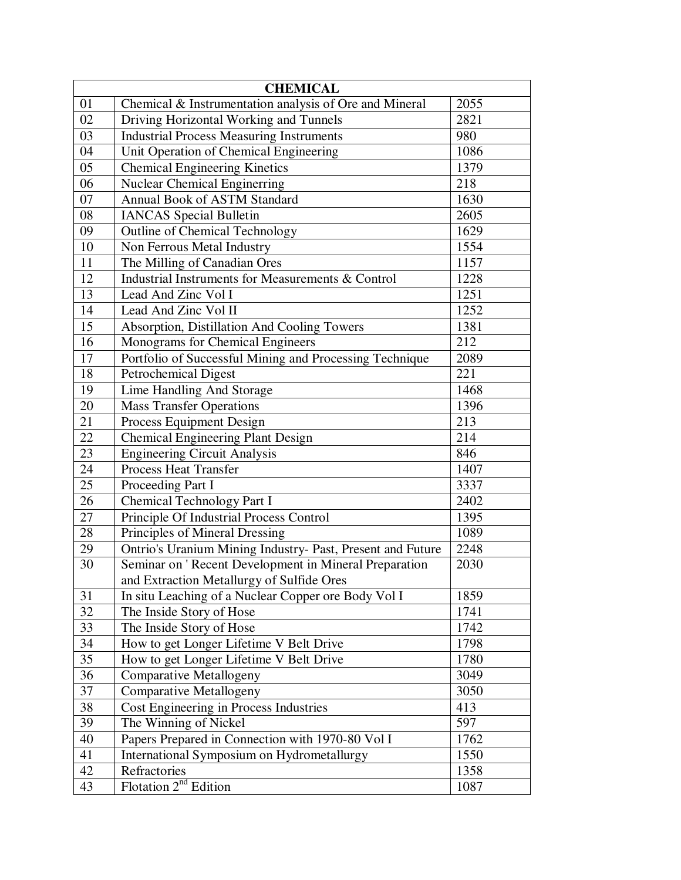| <b>CHEMICAL</b> |                                                            |      |  |
|-----------------|------------------------------------------------------------|------|--|
| 01              | Chemical & Instrumentation analysis of Ore and Mineral     | 2055 |  |
| 02              | Driving Horizontal Working and Tunnels                     | 2821 |  |
| 03              | <b>Industrial Process Measuring Instruments</b>            | 980  |  |
| 04              | Unit Operation of Chemical Engineering                     | 1086 |  |
| 05              | <b>Chemical Engineering Kinetics</b>                       | 1379 |  |
| 06              | <b>Nuclear Chemical Enginerring</b>                        | 218  |  |
| 07              | <b>Annual Book of ASTM Standard</b>                        | 1630 |  |
| 08              | <b>IANCAS</b> Special Bulletin                             | 2605 |  |
| 09              | Outline of Chemical Technology                             | 1629 |  |
| 10              | Non Ferrous Metal Industry                                 | 1554 |  |
| $\overline{11}$ | The Milling of Canadian Ores                               | 1157 |  |
| 12              | Industrial Instruments for Measurements & Control          | 1228 |  |
| 13              | Lead And Zinc Vol I                                        | 1251 |  |
| 14              | Lead And Zinc Vol II                                       | 1252 |  |
| 15              | Absorption, Distillation And Cooling Towers                | 1381 |  |
| 16              | Monograms for Chemical Engineers                           | 212  |  |
| 17              | Portfolio of Successful Mining and Processing Technique    | 2089 |  |
| 18              | <b>Petrochemical Digest</b>                                | 221  |  |
| 19              | Lime Handling And Storage                                  | 1468 |  |
| 20              | <b>Mass Transfer Operations</b>                            | 1396 |  |
| 21              | <b>Process Equipment Design</b>                            | 213  |  |
| 22              | <b>Chemical Engineering Plant Design</b>                   | 214  |  |
| 23              | <b>Engineering Circuit Analysis</b>                        | 846  |  |
| 24              | <b>Process Heat Transfer</b>                               | 1407 |  |
| 25              | Proceeding Part I                                          | 3337 |  |
| 26              | Chemical Technology Part I                                 | 2402 |  |
| 27              | Principle Of Industrial Process Control                    | 1395 |  |
| 28              | Principles of Mineral Dressing                             | 1089 |  |
| 29              | Ontrio's Uranium Mining Industry- Past, Present and Future | 2248 |  |
| 30              | Seminar on 'Recent Development in Mineral Preparation      | 2030 |  |
|                 | and Extraction Metallurgy of Sulfide Ores                  |      |  |
| 31              | In situ Leaching of a Nuclear Copper ore Body Vol I        | 1859 |  |
| 32              | The Inside Story of Hose                                   | 1741 |  |
| 33              | The Inside Story of Hose                                   | 1742 |  |
| 34              | How to get Longer Lifetime V Belt Drive                    | 1798 |  |
| 35              | How to get Longer Lifetime V Belt Drive                    | 1780 |  |
| 36              | <b>Comparative Metallogeny</b>                             | 3049 |  |
| 37              | <b>Comparative Metallogeny</b>                             | 3050 |  |
| 38              | Cost Engineering in Process Industries                     | 413  |  |
| 39              | The Winning of Nickel                                      | 597  |  |
| 40              | Papers Prepared in Connection with 1970-80 Vol I           | 1762 |  |
| 41              | International Symposium on Hydrometallurgy                 | 1550 |  |
| 42              | Refractories                                               | 1358 |  |
| 43              | Flotation $2nd$ Edition                                    | 1087 |  |